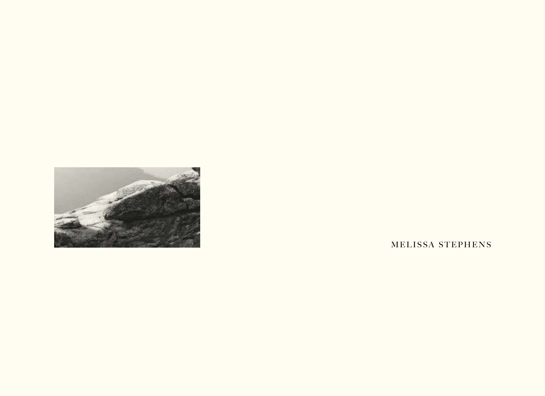

MELISSA STEPHENS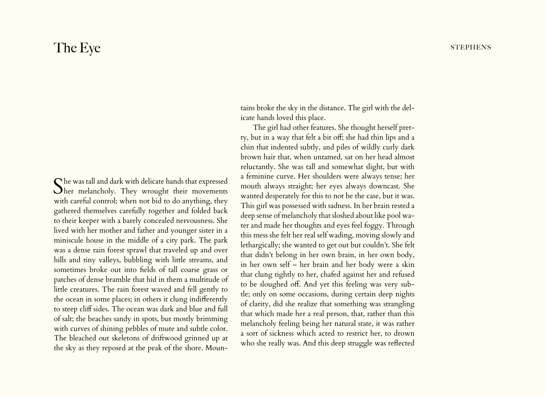# The Eye  $\,$  stephens

 $\bigcap$  he was tall and dark with delicate hands that expressed her melancholy. They wrought their movements with careful control; when not bid to do anything, they gathered themselves carefully together and folded back to their keeper with a barely concealed nervousness. She lived with her mother and father and younger sister in a miniscule house in the middle of a city park. The park was a dense rain forest sprawl that traveled up and over hills and tiny valleys, bubbling with little streams, and sometimes broke out into fields of tall coarse grass or patches of dense bramble that hid in them a multitude of little creatures. The rain forest waved and fell gently to the ocean in some places; in others it clung indifferently to steep cliff sides. The ocean was dark and blue and full of salt; the beaches sandy in spots, but mostly brimming with curves of shining pebbles of mute and subtle color. The bleached out skeletons of driftwood grinned up at the sky as they reposed at the peak of the shore. Moun-

tains broke the sky in the distance. The girl with the delicate hands loved this place.

The girl had other features. She thought herself pretty, but in a way that felt a bit off; she had thin lips and a chin that indented subtly, and piles of wildly curly dark brown hair that, when untamed, sat on her head almost reluctantly. She was tall and somewhat slight, but with a feminine curve. Her shoulders were always tense; her mouth always straight; her eyes always downcast. She wanted desperately for this to not be the case, but it was. This girl was possessed with sadness. In her brain rested a deep sense of melancholy that sloshed about like pool water and made her thoughts and eyes feel foggy. Through this mess she felt her real self wading, moving slowly and lethargically; she wanted to get out but couldn't. She felt that didn't belong in her own brain, in her own body, in her own self – her brain and her body were a skin that clung tightly to her, chafed against her and refused to be sloughed off. And yet this feeling was very subtle; only on some occasions, during certain deep nights of clarity, did she realize that something was strangling that which made her a real person, that, rather than this melancholy feeling being her natural state, it was rather a sort of sickness which acted to restrict her, to drown who she really was. And this deep struggle was reflected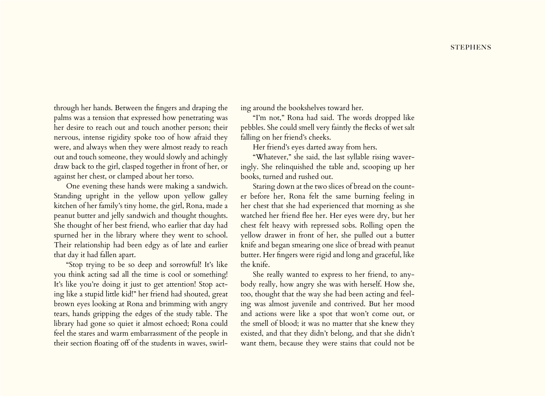through her hands. Between the fingers and draping the palms was a tension that expressed how penetrating was her desire to reach out and touch another person; their nervous, intense rigidity spoke too of how afraid they were, and always when they were almost ready to reach out and touch someone, they would slowly and achingly draw back to the girl, clasped together in front of her, or against her chest, or clamped about her torso.

One evening these hands were making a sandwich. Standing upright in the yellow upon yellow galley kitchen of her family's tiny home, the girl, Rona, made a peanut butter and jelly sandwich and thought thoughts. She thought of her best friend, who earlier that day had spurned her in the library where they went to school. Their relationship had been edgy as of late and earlier that day it had fallen apart.

"Stop trying to be so deep and sorrowful! It's like you think acting sad all the time is cool or something! It's like you're doing it just to get attention! Stop acting like a stupid little kid!" her friend had shouted, great brown eyes looking at Rona and brimming with angry tears, hands gripping the edges of the study table. The library had gone so quiet it almost echoed; Rona could feel the stares and warm embarrassment of the people in their section floating off of the students in waves, swirling around the bookshelves toward her.

"I'm not," Rona had said. The words dropped like pebbles. She could smell very faintly the flecks of wet salt falling on her friend's cheeks.

Her friend's eyes darted away from hers.

"Whatever," she said, the last syllable rising waveringly. She relinquished the table and, scooping up her books, turned and rushed out.

Staring down at the two slices of bread on the counter before her, Rona felt the same burning feeling in her chest that she had experienced that morning as she watched her friend flee her. Her eyes were dry, but her chest felt heavy with repressed sobs. Rolling open the yellow drawer in front of her, she pulled out a butter knife and began smearing one slice of bread with peanut butter. Her fingers were rigid and long and graceful, like the knife.

She really wanted to express to her friend, to anybody really, how angry she was with herself. How she, too, thought that the way she had been acting and feeling was almost juvenile and contrived. But her mood and actions were like a spot that won't come out, or the smell of blood; it was no matter that she knew they existed, and that they didn't belong, and that she didn't want them, because they were stains that could not be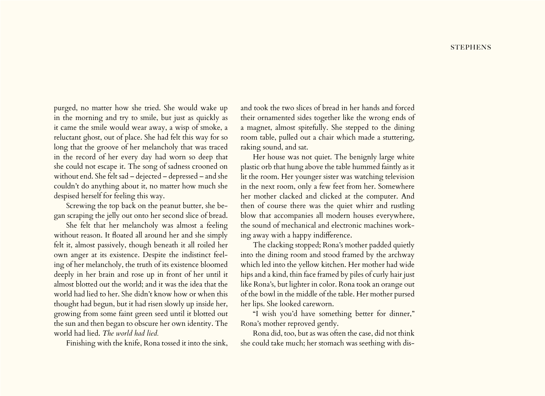purged, no matter how she tried. She would wake up in the morning and try to smile, but just as quickly as it came the smile would wear away, a wisp of smoke, a reluctant ghost, out of place. She had felt this way for so long that the groove of her melancholy that was traced in the record of her every day had worn so deep that she could not escape it. The song of sadness crooned on without end. She felt sad – dejected – depressed – and she couldn't do anything about it, no matter how much she despised herself for feeling this way.

Screwing the top back on the peanut butter, she began scraping the jelly out onto her second slice of bread.

She felt that her melancholy was almost a feeling without reason. It floated all around her and she simply felt it, almost passively, though beneath it all roiled her own anger at its existence. Despite the indistinct feeling of her melancholy, the truth of its existence bloomed deeply in her brain and rose up in front of her until it almost blotted out the world; and it was the idea that the world had lied to her. She didn't know how or when this thought had begun, but it had risen slowly up inside her, growing from some faint green seed until it blotted out the sun and then began to obscure her own identity. The world had lied. *The world had lied.*

Finishing with the knife, Rona tossed it into the sink,

and took the two slices of bread in her hands and forced their ornamented sides together like the wrong ends of a magnet, almost spitefully. She stepped to the dining room table, pulled out a chair which made a stuttering, raking sound, and sat.

Her house was not quiet. The benignly large white plastic orb that hung above the table hummed faintly as it lit the room. Her younger sister was watching television in the next room, only a few feet from her. Somewhere her mother clacked and clicked at the computer. And then of course there was the quiet whirr and rustling blow that accompanies all modern houses everywhere, the sound of mechanical and electronic machines working away with a happy indifference.

The clacking stopped; Rona's mother padded quietly into the dining room and stood framed by the archway which led into the yellow kitchen. Her mother had wide hips and a kind, thin face framed by piles of curly hair just like Rona's, but lighter in color. Rona took an orange out of the bowl in the middle of the table. Her mother pursed her lips. She looked careworn.

"I wish you'd have something better for dinner," Rona's mother reproved gently.

Rona did, too, but as was often the case, did not think she could take much; her stomach was seething with dis-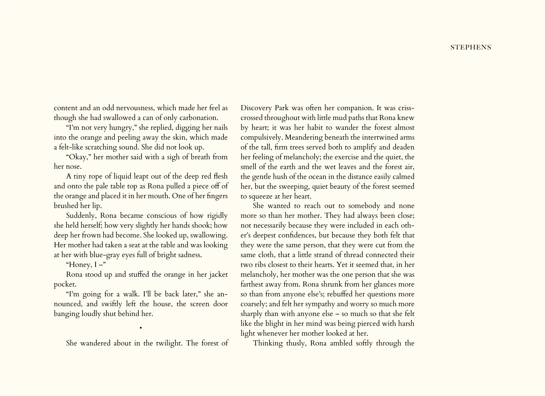content and an odd nervousness, which made her feel as though she had swallowed a can of only carbonation.

"I'm not very hungry," she replied, digging her nails into the orange and peeling away the skin, which made a felt-like scratching sound. She did not look up.

"Okay," her mother said with a sigh of breath from her nose.

A tiny rope of liquid leapt out of the deep red flesh and onto the pale table top as Rona pulled a piece off of the orange and placed it in her mouth. One of her fingers brushed her lip.

Suddenly, Rona became conscious of how rigidly she held herself; how very slightly her hands shook; how deep her frown had become. She looked up, swallowing. Her mother had taken a seat at the table and was looking at her with blue-gray eyes full of bright sadness.

## "Honey,  $I -$ "

Rona stood up and stuffed the orange in her jacket pocket.

"I'm going for a walk. I'll be back later," she announced, and swiftly left the house, the screen door banging loudly shut behind her.

•

She wandered about in the twilight. The forest of

Discovery Park was often her companion. It was crisscrossed throughout with little mud paths that Rona knew by heart; it was her habit to wander the forest almost compulsively. Meandering beneath the intertwined arms of the tall, firm trees served both to amplify and deaden her feeling of melancholy; the exercise and the quiet, the smell of the earth and the wet leaves and the forest air, the gentle hush of the ocean in the distance easily calmed her, but the sweeping, quiet beauty of the forest seemed to squeeze at her heart.

She wanted to reach out to somebody and none more so than her mother. They had always been close; not necessarily because they were included in each other's deepest confidences, but because they both felt that they were the same person, that they were cut from the same cloth, that a little strand of thread connected their two ribs closest to their hearts. Yet it seemed that, in her melancholy, her mother was the one person that she was farthest away from. Rona shrunk from her glances more so than from anyone else's; rebuffed her questions more coarsely; and felt her sympathy and worry so much more sharply than with anyone else – so much so that she felt like the blight in her mind was being pierced with harsh light whenever her mother looked at her.

Thinking thusly, Rona ambled softly through the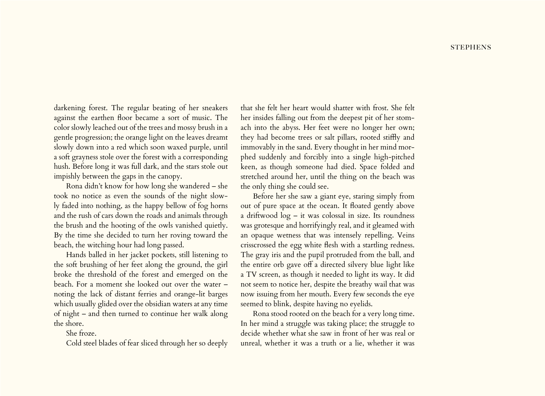darkening forest. The regular beating of her sneakers against the earthen floor became a sort of music. The color slowly leached out of the trees and mossy brush in a gentle progression; the orange light on the leaves dreamt slowly down into a red which soon waxed purple, until a soft grayness stole over the forest with a corresponding hush. Before long it was full dark, and the stars stole out impishly between the gaps in the canopy.

Rona didn't know for how long she wandered – she took no notice as even the sounds of the night slowly faded into nothing, as the happy bellow of fog horns and the rush of cars down the roads and animals through the brush and the hooting of the owls vanished quietly. By the time she decided to turn her roving toward the beach, the witching hour had long passed.

Hands balled in her jacket pockets, still listening to the soft brushing of her feet along the ground, the girl broke the threshold of the forest and emerged on the beach. For a moment she looked out over the water – noting the lack of distant ferries and orange-lit barges which usually glided over the obsidian waters at any time of night – and then turned to continue her walk along the shore.

She froze.

Cold steel blades of fear sliced through her so deeply

that she felt her heart would shatter with frost. She felt her insides falling out from the deepest pit of her stomach into the abyss. Her feet were no longer her own; they had become trees or salt pillars, rooted stiffly and immovably in the sand. Every thought in her mind morphed suddenly and forcibly into a single high-pitched keen, as though someone had died. Space folded and stretched around her, until the thing on the beach was the only thing she could see.

Before her she saw a giant eye, staring simply from out of pure space at the ocean. It floated gently above a driftwood log – it was colossal in size. Its roundness was grotesque and horrifyingly real, and it gleamed with an opaque wetness that was intensely repelling. Veins crisscrossed the egg white flesh with a startling redness. The gray iris and the pupil protruded from the ball, and the entire orb gave off a directed silvery blue light like a TV screen, as though it needed to light its way. It did not seem to notice her, despite the breathy wail that was now issuing from her mouth. Every few seconds the eye seemed to blink, despite having no eyelids.

Rona stood rooted on the beach for a very long time. In her mind a struggle was taking place; the struggle to decide whether what she saw in front of her was real or unreal, whether it was a truth or a lie, whether it was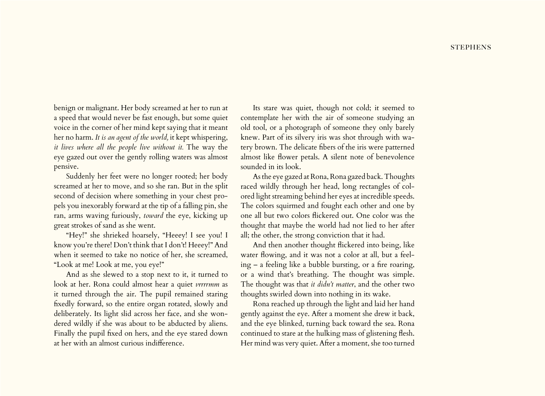benign or malignant. Her body screamed at her to run at a speed that would never be fast enough, but some quiet voice in the corner of her mind kept saying that it meant her no harm. *It is an agent of the world,* it kept whispering, *it lives where all the people live without it.* The way the eye gazed out over the gently rolling waters was almost pensive.

Suddenly her feet were no longer rooted; her body screamed at her to move, and so she ran. But in the split second of decision where something in your chest propels you inexorably forward at the tip of a falling pin, she ran, arms waving furiously, *toward* the eye, kicking up great strokes of sand as she went.

"Hey!" she shrieked hoarsely, "Heeey! I see you! I know you're there! Don't think that I don't! Heeey!" And when it seemed to take no notice of her, she screamed, "Look at me! Look at me, you eye!"

And as she slewed to a stop next to it, it turned to look at her. Rona could almost hear a quiet *vrrrrmm* as it turned through the air. The pupil remained staring fixedly forward, so the entire organ rotated, slowly and deliberately. Its light slid across her face, and she wondered wildly if she was about to be abducted by aliens. Finally the pupil fixed on hers, and the eye stared down at her with an almost curious indifference.

Its stare was quiet, though not cold; it seemed to contemplate her with the air of someone studying an old tool, or a photograph of someone they only barely knew. Part of its silvery iris was shot through with watery brown. The delicate fibers of the iris were patterned almost like flower petals. A silent note of benevolence sounded in its look.

As the eye gazed at Rona, Rona gazed back. Thoughts raced wildly through her head, long rectangles of colored light streaming behind her eyes at incredible speeds. The colors squirmed and fought each other and one by one all but two colors flickered out. One color was the thought that maybe the world had not lied to her after all; the other, the strong conviction that it had.

And then another thought flickered into being, like water flowing, and it was not a color at all, but a feeling – a feeling like a bubble bursting, or a fire roaring, or a wind that's breathing. The thought was simple. The thought was that *it didn't matter*, and the other two thoughts swirled down into nothing in its wake.

Rona reached up through the light and laid her hand gently against the eye. After a moment she drew it back, and the eye blinked, turning back toward the sea. Rona continued to stare at the hulking mass of glistening flesh. Her mind was very quiet. After a moment, she too turned